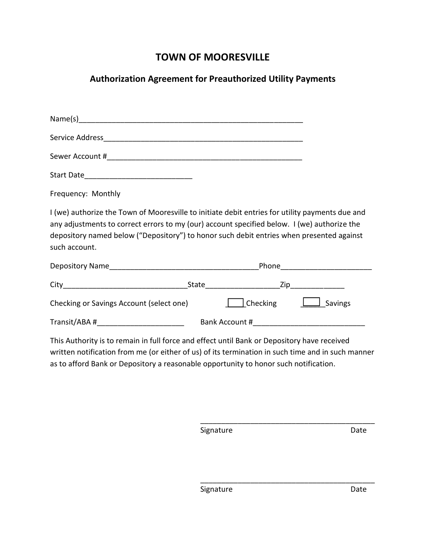## **TOWN OF MOORESVILLE**

## **Authorization Agreement for Preauthorized Utility Payments**

| Frequency: Monthly                                                                                                                                                                                                                                                                                          |                                             |  |  |                               |
|-------------------------------------------------------------------------------------------------------------------------------------------------------------------------------------------------------------------------------------------------------------------------------------------------------------|---------------------------------------------|--|--|-------------------------------|
| I (we) authorize the Town of Mooresville to initiate debit entries for utility payments due and<br>any adjustments to correct errors to my (our) account specified below. I (we) authorize the<br>depository named below ("Depository") to honor such debit entries when presented against<br>such account. |                                             |  |  |                               |
|                                                                                                                                                                                                                                                                                                             |                                             |  |  |                               |
|                                                                                                                                                                                                                                                                                                             |                                             |  |  |                               |
| Checking or Savings Account (select one)                                                                                                                                                                                                                                                                    |                                             |  |  | Checking <b>Luist</b> Savings |
|                                                                                                                                                                                                                                                                                                             | Transit/ABA # Bank Account # Bank Account # |  |  |                               |
| This Authority is to remain in full force and effect until Rank or Depository baye received                                                                                                                                                                                                                 |                                             |  |  |                               |

This Authority is to remain in full force and effect until Bank or Depository have received written notification from me (or either of us) of its termination in such time and in such manner as to afford Bank or Depository a reasonable opportunity to honor such notification.

 $\overline{\phantom{a}}$  ,  $\overline{\phantom{a}}$  ,  $\overline{\phantom{a}}$  ,  $\overline{\phantom{a}}$  ,  $\overline{\phantom{a}}$  ,  $\overline{\phantom{a}}$  ,  $\overline{\phantom{a}}$  ,  $\overline{\phantom{a}}$  ,  $\overline{\phantom{a}}$  ,  $\overline{\phantom{a}}$  ,  $\overline{\phantom{a}}$  ,  $\overline{\phantom{a}}$  ,  $\overline{\phantom{a}}$  ,  $\overline{\phantom{a}}$  ,  $\overline{\phantom{a}}$  ,  $\overline{\phantom{a}}$ Signature Date